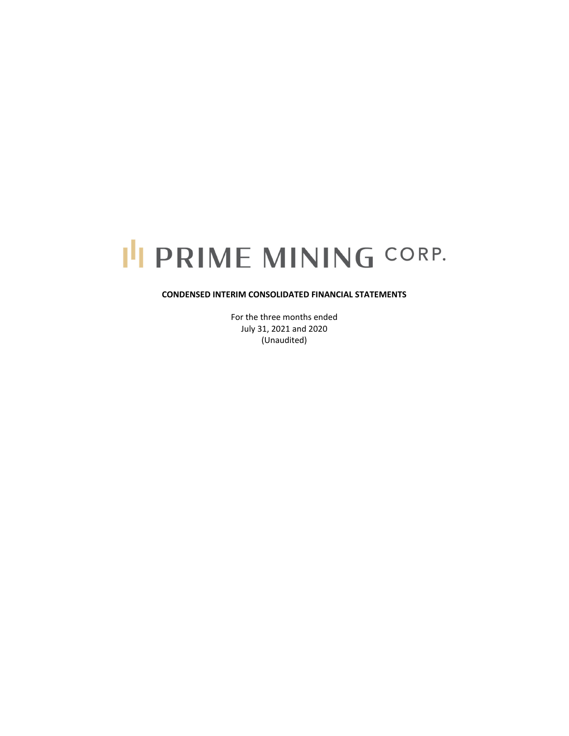# I'I PRIME MINING CORP.

## **CONDENSED INTERIM CONSOLIDATED FINANCIAL STATEMENTS**

For the three months ended July 31, 2021 and 2020 (Unaudited)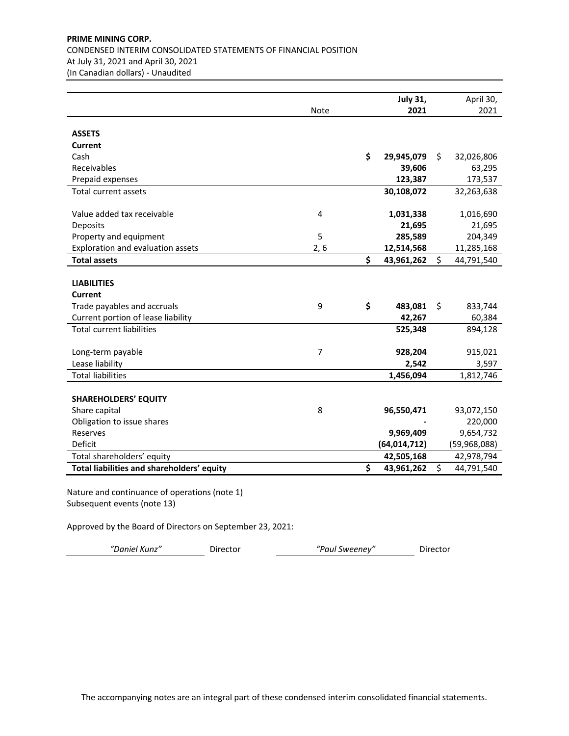# **PRIME MINING CORP.** CONDENSED INTERIM CONSOLIDATED STATEMENTS OF FINANCIAL POSITION At July 31, 2021 and April 30, 2021 (In Canadian dollars) ‐ Unaudited

|                                            |                | <b>July 31,</b>  | April 30,        |
|--------------------------------------------|----------------|------------------|------------------|
|                                            | Note           | 2021             | 2021             |
|                                            |                |                  |                  |
| <b>ASSETS</b>                              |                |                  |                  |
| <b>Current</b>                             |                |                  |                  |
| Cash                                       |                | \$<br>29,945,079 | \$<br>32,026,806 |
| Receivables                                |                | 39,606           | 63,295           |
| Prepaid expenses                           |                | 123,387          | 173,537          |
| <b>Total current assets</b>                |                | 30,108,072       | 32,263,638       |
|                                            |                |                  |                  |
| Value added tax receivable                 | $\overline{4}$ | 1,031,338        | 1,016,690        |
| Deposits                                   |                | 21,695           | 21,695           |
| Property and equipment                     | 5              | 285,589          | 204,349          |
| Exploration and evaluation assets          | 2, 6           | 12,514,568       | 11,285,168       |
| <b>Total assets</b>                        |                | \$<br>43,961,262 | \$<br>44,791,540 |
|                                            |                |                  |                  |
| <b>LIABILITIES</b>                         |                |                  |                  |
| <b>Current</b>                             |                |                  |                  |
| Trade payables and accruals                | 9              | \$<br>483,081    | \$<br>833,744    |
| Current portion of lease liability         |                | 42,267           | 60,384           |
| <b>Total current liabilities</b>           |                | 525,348          | 894,128          |
|                                            |                |                  |                  |
| Long-term payable                          | $\overline{7}$ | 928,204          | 915,021          |
| Lease liability                            |                | 2,542            | 3,597            |
| <b>Total liabilities</b>                   |                | 1,456,094        | 1,812,746        |
|                                            |                |                  |                  |
| <b>SHAREHOLDERS' EQUITY</b>                |                |                  |                  |
| Share capital                              | 8              | 96,550,471       | 93,072,150       |
| Obligation to issue shares                 |                |                  | 220,000          |
| Reserves                                   |                | 9,969,409        | 9,654,732        |
| Deficit                                    |                | (64, 014, 712)   | (59,968,088)     |
| Total shareholders' equity                 |                | 42,505,168       | 42,978,794       |
| Total liabilities and shareholders' equity |                | \$<br>43,961,262 | \$<br>44,791,540 |

Nature and continuance of operations (note 1) Subsequent events (note 13)

Approved by the Board of Directors on September 23, 2021:

*"Daniel Kunz"* Director *"Paul Sweeney"* Director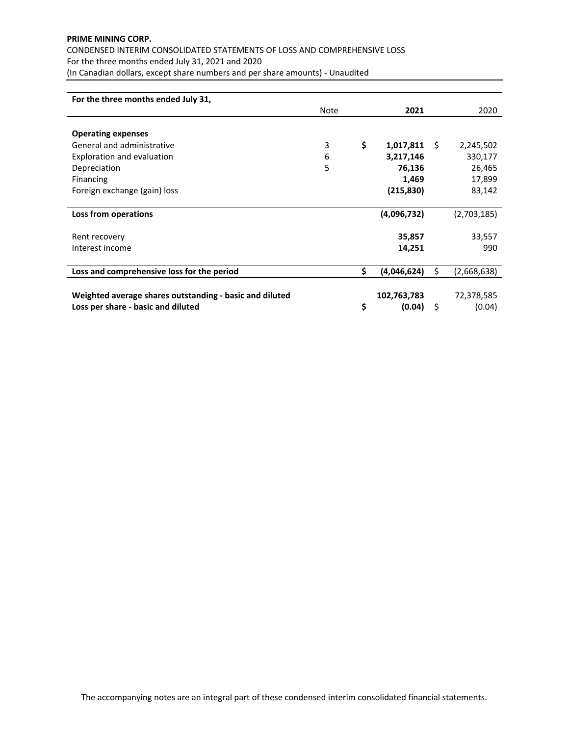# **PRIME MINING CORP.** CONDENSED INTERIM CONSOLIDATED STATEMENTS OF LOSS AND COMPREHENSIVE LOSS For the three months ended July 31, 2021 and 2020 (In Canadian dollars, except share numbers and per share amounts) ‐ Unaudited

| For the three months ended July 31,                     |      |                   |    |             |
|---------------------------------------------------------|------|-------------------|----|-------------|
|                                                         | Note | 2021              |    | 2020        |
|                                                         |      |                   |    |             |
| <b>Operating expenses</b>                               |      |                   |    |             |
| General and administrative                              | 3    | \$<br>1,017,811   | S. | 2,245,502   |
| Exploration and evaluation                              | 6    | 3,217,146         |    | 330,177     |
| Depreciation                                            | 5    | 76,136            |    | 26,465      |
| Financing                                               |      | 1,469             |    | 17,899      |
| Foreign exchange (gain) loss                            |      | (215,830)         |    | 83,142      |
|                                                         |      |                   |    |             |
| Loss from operations                                    |      | (4,096,732)       |    | (2,703,185) |
|                                                         |      |                   |    |             |
| Rent recovery                                           |      | 35,857            |    | 33,557      |
| Interest income                                         |      | 14,251            |    | 990         |
|                                                         |      |                   |    |             |
| Loss and comprehensive loss for the period              |      | \$<br>(4,046,624) | Ś  | (2,668,638) |
|                                                         |      |                   |    |             |
| Weighted average shares outstanding - basic and diluted |      | 102,763,783       |    | 72,378,585  |
| Loss per share - basic and diluted                      |      | \$<br>(0.04)      | \$ | (0.04)      |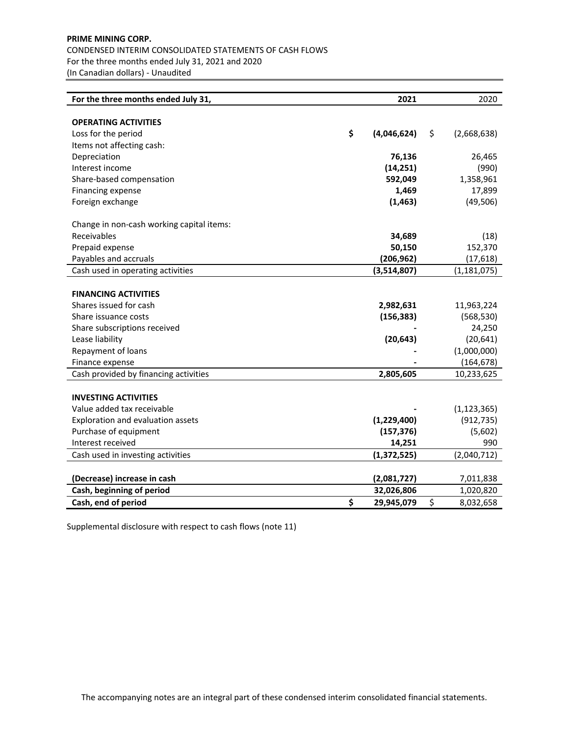# **PRIME MINING CORP.** CONDENSED INTERIM CONSOLIDATED STATEMENTS OF CASH FLOWS For the three months ended July 31, 2021 and 2020 (In Canadian dollars) ‐ Unaudited

| For the three months ended July 31,       | 2021              | 2020              |
|-------------------------------------------|-------------------|-------------------|
|                                           |                   |                   |
| <b>OPERATING ACTIVITIES</b>               |                   |                   |
| Loss for the period                       | \$<br>(4,046,624) | \$<br>(2,668,638) |
| Items not affecting cash:                 |                   |                   |
| Depreciation                              | 76,136            | 26,465            |
| Interest income                           | (14, 251)         | (990)             |
| Share-based compensation                  | 592,049           | 1,358,961         |
| Financing expense                         | 1,469             | 17,899            |
| Foreign exchange                          | (1, 463)          | (49, 506)         |
| Change in non-cash working capital items: |                   |                   |
| Receivables                               | 34,689            | (18)              |
| Prepaid expense                           | 50,150            | 152,370           |
| Payables and accruals                     | (206, 962)        | (17, 618)         |
| Cash used in operating activities         | (3,514,807)       | (1, 181, 075)     |
|                                           |                   |                   |
| <b>FINANCING ACTIVITIES</b>               |                   |                   |
| Shares issued for cash                    | 2,982,631         | 11,963,224        |
| Share issuance costs                      | (156, 383)        | (568, 530)        |
| Share subscriptions received              |                   | 24,250            |
| Lease liability                           | (20, 643)         | (20, 641)         |
| Repayment of loans                        |                   | (1,000,000)       |
| Finance expense                           |                   | (164, 678)        |
| Cash provided by financing activities     | 2,805,605         | 10,233,625        |
|                                           |                   |                   |
| <b>INVESTING ACTIVITIES</b>               |                   |                   |
| Value added tax receivable                |                   | (1, 123, 365)     |
| Exploration and evaluation assets         | (1,229,400)       | (912, 735)        |
| Purchase of equipment                     | (157, 376)        | (5,602)           |
| Interest received                         | 14,251            | 990               |
| Cash used in investing activities         | (1, 372, 525)     | (2,040,712)       |
|                                           |                   |                   |
| (Decrease) increase in cash               | (2,081,727)       | 7,011,838         |
| Cash, beginning of period                 | 32,026,806        | 1,020,820         |
| Cash, end of period                       | \$<br>29,945,079  | \$<br>8,032,658   |

Supplemental disclosure with respect to cash flows (note 11)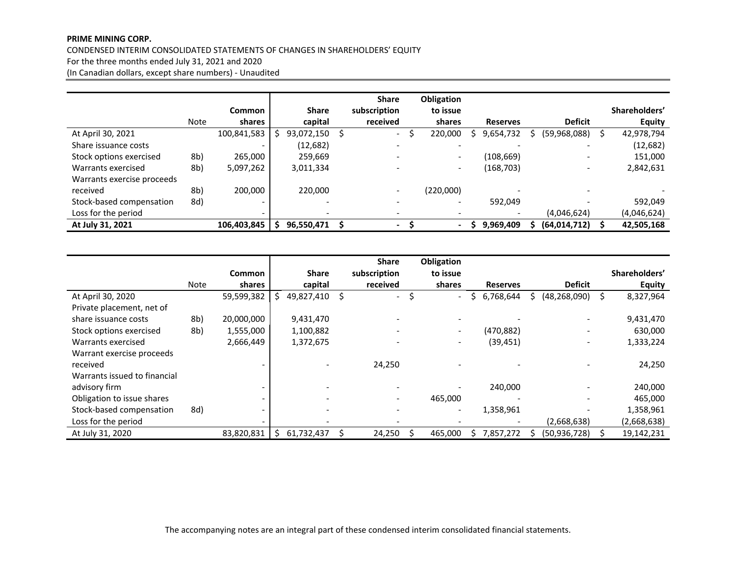#### **PRIME MINING CORP.**

#### CONDENSED INTERIM CONSOLIDATED STATEMENTS OF CHANGES IN SHAREHOLDERS' EQUITY

For the three months ended July 31, 2021 and 2020

(In Canadian dollars, except share numbers) ‐ Unaudited

|                            |      |                          |   |              | <b>Share</b> | Obligation               |                 |                          |                  |
|----------------------------|------|--------------------------|---|--------------|--------------|--------------------------|-----------------|--------------------------|------------------|
|                            |      | <b>Common</b>            |   | <b>Share</b> | subscription | to issue                 |                 |                          | Shareholders'    |
|                            | Note | shares                   |   | capital      | received     | shares                   | <b>Reserves</b> | <b>Deficit</b>           | <b>Equity</b>    |
| At April 30, 2021          |      | 100,841,583              | S | 93,072,150   | $\sim$       | 220,000                  | 9,654,732       | (59,968,088)             | \$<br>42,978,794 |
| Share issuance costs       |      | $\overline{\phantom{0}}$ |   | (12,682)     |              | $\overline{\phantom{a}}$ |                 |                          | (12, 682)        |
| Stock options exercised    | 8b)  | 265,000                  |   | 259,669      |              | $\overline{\phantom{a}}$ | (108,669)       | $\overline{\phantom{0}}$ | 151,000          |
| Warrants exercised         | 8b)  | 5,097,262                |   | 3,011,334    |              | $\overline{\phantom{a}}$ | (168, 703)      | $\overline{\phantom{0}}$ | 2,842,631        |
| Warrants exercise proceeds |      |                          |   |              |              |                          |                 |                          |                  |
| received                   | 8b)  | 200,000                  |   | 220,000      |              | (220,000)                |                 |                          |                  |
| Stock-based compensation   | 8d)  | -                        |   |              |              | $\overline{\phantom{a}}$ | 592,049         |                          | 592,049          |
| Loss for the period        |      |                          |   |              |              |                          |                 | (4,046,624)              | (4,046,624)      |
| At July 31, 2021           |      | 106,403,845              |   | 96,550,471   | -            | $\blacksquare$           | 9,969,409       | (64, 014, 712)           | 42,505,168       |

|                              |      |                          |    |              | <b>Share</b>             | Obligation               |                 |   |                |                 |
|------------------------------|------|--------------------------|----|--------------|--------------------------|--------------------------|-----------------|---|----------------|-----------------|
|                              |      | <b>Common</b>            |    | <b>Share</b> | subscription             | to issue                 |                 |   |                | Shareholders'   |
|                              | Note | shares                   |    | capital      | received                 | shares                   | <b>Reserves</b> |   | <b>Deficit</b> | <b>Equity</b>   |
| At April 30, 2020            |      | 59,599,382               | S. | 49,827,410   | $\overline{\phantom{0}}$ | \$<br>$\blacksquare$     | 6,768,644       | S | (48, 268, 090) | \$<br>8,327,964 |
| Private placement, net of    |      |                          |    |              |                          |                          |                 |   |                |                 |
| share issuance costs         | 8b)  | 20,000,000               |    | 9,431,470    |                          |                          |                 |   |                | 9,431,470       |
| Stock options exercised      | 8b)  | 1,555,000                |    | 1,100,882    |                          | $\overline{\phantom{a}}$ | (470, 882)      |   |                | 630,000         |
| Warrants exercised           |      | 2,666,449                |    | 1,372,675    |                          | $\overline{\phantom{a}}$ | (39, 451)       |   |                | 1,333,224       |
| Warrant exercise proceeds    |      |                          |    |              |                          |                          |                 |   |                |                 |
| received                     |      |                          |    |              | 24.250                   |                          |                 |   |                | 24,250          |
| Warrants issued to financial |      |                          |    |              |                          |                          |                 |   |                |                 |
| advisory firm                |      | $\overline{\phantom{0}}$ |    |              |                          |                          | 240,000         |   |                | 240,000         |
| Obligation to issue shares   |      |                          |    |              |                          | 465,000                  |                 |   |                | 465,000         |
| Stock-based compensation     | 8d)  | $\overline{\phantom{0}}$ |    | ۰            |                          | $\overline{\phantom{a}}$ | 1,358,961       |   |                | 1,358,961       |
| Loss for the period          |      |                          |    |              |                          |                          |                 |   | (2,668,638)    | (2,668,638)     |
| At July 31, 2020             |      | 83,820,831               | S  | 61,732,437   | 24,250                   | 465,000                  | 7,857,272       |   | (50, 936, 728) | 19,142,231      |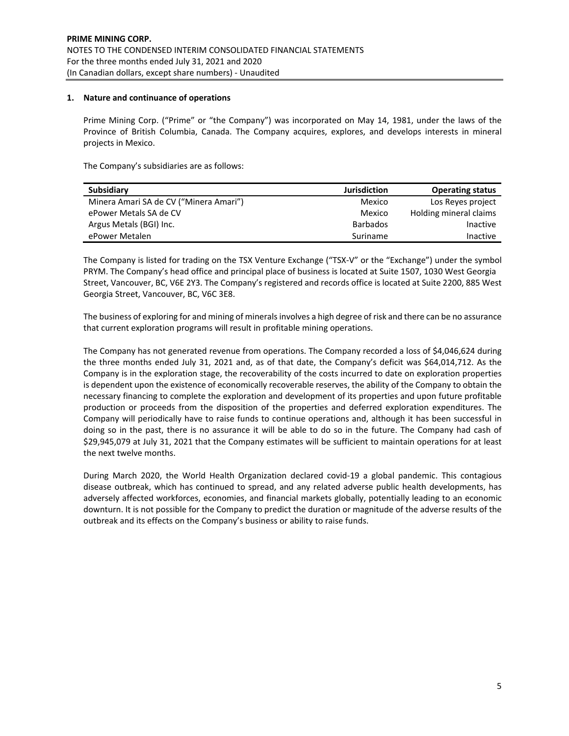## **1. Nature and continuance of operations**

Prime Mining Corp. ("Prime" or "the Company") was incorporated on May 14, 1981, under the laws of the Province of British Columbia, Canada. The Company acquires, explores, and develops interests in mineral projects in Mexico.

The Company's subsidiaries are as follows:

| <b>Subsidiary</b>                      | <b>Jurisdiction</b> | <b>Operating status</b> |
|----------------------------------------|---------------------|-------------------------|
| Minera Amari SA de CV ("Minera Amari") | Mexico              | Los Reves project       |
| ePower Metals SA de CV                 | Mexico              | Holding mineral claims  |
| Argus Metals (BGI) Inc.                | <b>Barbados</b>     | Inactive                |
| ePower Metalen                         | Suriname            | Inactive                |

The Company is listed for trading on the TSX Venture Exchange ("TSX‐V" or the "Exchange") under the symbol PRYM. The Company's head office and principal place of business is located at Suite 1507, 1030 West Georgia Street, Vancouver, BC, V6E 2Y3. The Company's registered and records office is located at Suite 2200, 885 West Georgia Street, Vancouver, BC, V6C 3E8.

The business of exploring for and mining of minerals involves a high degree of risk and there can be no assurance that current exploration programs will result in profitable mining operations.

The Company has not generated revenue from operations. The Company recorded a loss of \$4,046,624 during the three months ended July 31, 2021 and, as of that date, the Company's deficit was \$64,014,712. As the Company is in the exploration stage, the recoverability of the costs incurred to date on exploration properties is dependent upon the existence of economically recoverable reserves, the ability of the Company to obtain the necessary financing to complete the exploration and development of its properties and upon future profitable production or proceeds from the disposition of the properties and deferred exploration expenditures. The Company will periodically have to raise funds to continue operations and, although it has been successful in doing so in the past, there is no assurance it will be able to do so in the future. The Company had cash of \$29,945,079 at July 31, 2021 that the Company estimates will be sufficient to maintain operations for at least the next twelve months.

During March 2020, the World Health Organization declared covid‐19 a global pandemic. This contagious disease outbreak, which has continued to spread, and any related adverse public health developments, has adversely affected workforces, economies, and financial markets globally, potentially leading to an economic downturn. It is not possible for the Company to predict the duration or magnitude of the adverse results of the outbreak and its effects on the Company's business or ability to raise funds.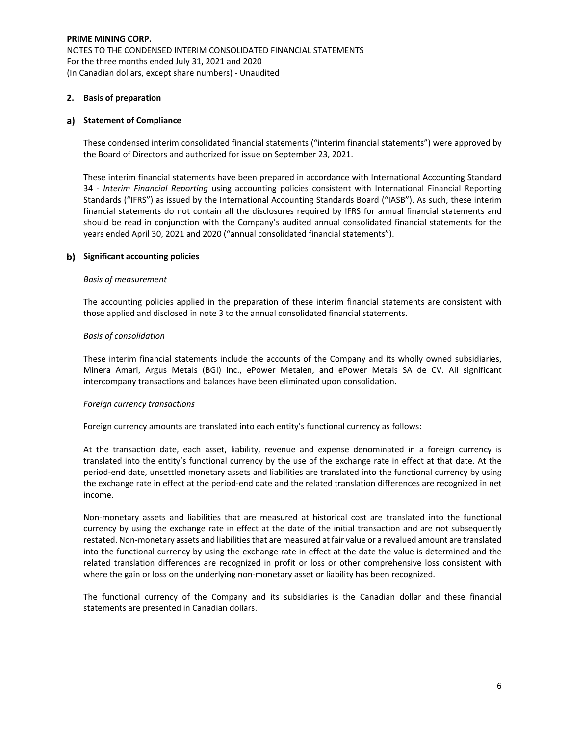## **2. Basis of preparation**

## **Statement of Compliance**

These condensed interim consolidated financial statements ("interim financial statements") were approved by the Board of Directors and authorized for issue on September 23, 2021.

These interim financial statements have been prepared in accordance with International Accounting Standard 34 ‐ *Interim Financial Reporting* using accounting policies consistent with International Financial Reporting Standards ("IFRS") as issued by the International Accounting Standards Board ("IASB"). As such, these interim financial statements do not contain all the disclosures required by IFRS for annual financial statements and should be read in conjunction with the Company's audited annual consolidated financial statements for the years ended April 30, 2021 and 2020 ("annual consolidated financial statements").

## **Significant accounting policies**

#### *Basis of measurement*

The accounting policies applied in the preparation of these interim financial statements are consistent with those applied and disclosed in note 3 to the annual consolidated financial statements.

## *Basis of consolidation*

These interim financial statements include the accounts of the Company and its wholly owned subsidiaries, Minera Amari, Argus Metals (BGI) Inc., ePower Metalen, and ePower Metals SA de CV. All significant intercompany transactions and balances have been eliminated upon consolidation.

## *Foreign currency transactions*

Foreign currency amounts are translated into each entity's functional currency as follows:

At the transaction date, each asset, liability, revenue and expense denominated in a foreign currency is translated into the entity's functional currency by the use of the exchange rate in effect at that date. At the period‐end date, unsettled monetary assets and liabilities are translated into the functional currency by using the exchange rate in effect at the period-end date and the related translation differences are recognized in net income.

Non‐monetary assets and liabilities that are measured at historical cost are translated into the functional currency by using the exchange rate in effect at the date of the initial transaction and are not subsequently restated. Non-monetary assets and liabilities that are measured at fair value or a revalued amount are translated into the functional currency by using the exchange rate in effect at the date the value is determined and the related translation differences are recognized in profit or loss or other comprehensive loss consistent with where the gain or loss on the underlying non-monetary asset or liability has been recognized.

The functional currency of the Company and its subsidiaries is the Canadian dollar and these financial statements are presented in Canadian dollars.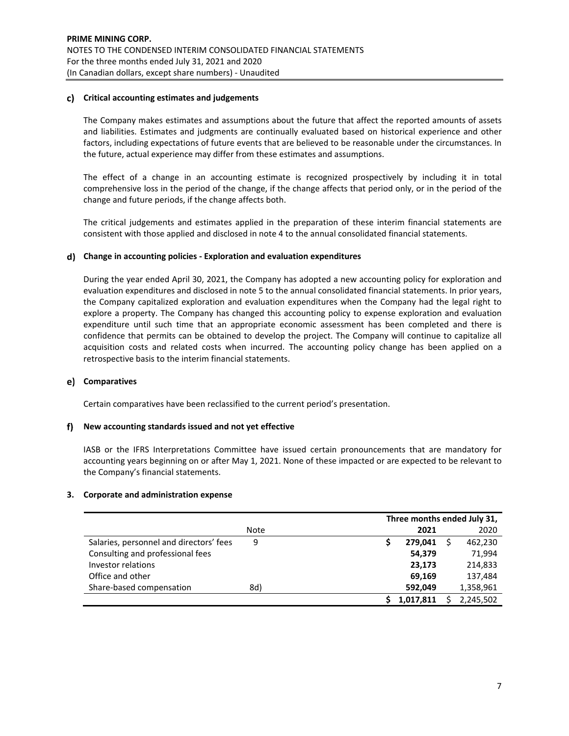## **Critical accounting estimates and judgements**

The Company makes estimates and assumptions about the future that affect the reported amounts of assets and liabilities. Estimates and judgments are continually evaluated based on historical experience and other factors, including expectations of future events that are believed to be reasonable under the circumstances. In the future, actual experience may differ from these estimates and assumptions.

The effect of a change in an accounting estimate is recognized prospectively by including it in total comprehensive loss in the period of the change, if the change affects that period only, or in the period of the change and future periods, if the change affects both.

The critical judgements and estimates applied in the preparation of these interim financial statements are consistent with those applied and disclosed in note 4 to the annual consolidated financial statements.

## **Change in accounting policies ‐ Exploration and evaluation expenditures**

During the year ended April 30, 2021, the Company has adopted a new accounting policy for exploration and evaluation expenditures and disclosed in note 5 to the annual consolidated financial statements. In prior years, the Company capitalized exploration and evaluation expenditures when the Company had the legal right to explore a property. The Company has changed this accounting policy to expense exploration and evaluation expenditure until such time that an appropriate economic assessment has been completed and there is confidence that permits can be obtained to develop the project. The Company will continue to capitalize all acquisition costs and related costs when incurred. The accounting policy change has been applied on a retrospective basis to the interim financial statements.

## **Comparatives**

Certain comparatives have been reclassified to the current period's presentation.

## **New accounting standards issued and not yet effective**

IASB or the IFRS Interpretations Committee have issued certain pronouncements that are mandatory for accounting years beginning on or after May 1, 2021. None of these impacted or are expected to be relevant to the Company's financial statements.

## **3. Corporate and administration expense**

|                                         |      | Three months ended July 31, |           |
|-----------------------------------------|------|-----------------------------|-----------|
|                                         | Note | 2021                        | 2020      |
| Salaries, personnel and directors' fees | 9    | 279.041                     | 462,230   |
| Consulting and professional fees        |      | 54,379                      | 71,994    |
| Investor relations                      |      | 23,173                      | 214,833   |
| Office and other                        |      | 69,169                      | 137,484   |
| Share-based compensation                | 8d)  | 592,049                     | 1,358,961 |
|                                         |      | 1,017,811                   | 2,245,502 |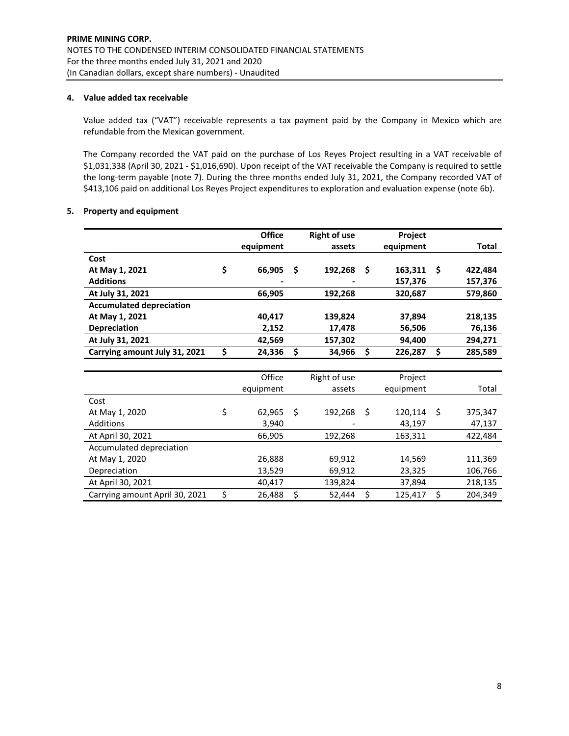## **4. Value added tax receivable**

Value added tax ("VAT") receivable represents a tax payment paid by the Company in Mexico which are refundable from the Mexican government.

The Company recorded the VAT paid on the purchase of Los Reyes Project resulting in a VAT receivable of \$1,031,338 (April 30, 2021 ‐ \$1,016,690). Upon receipt of the VAT receivable the Company is required to settle the long-term payable (note 7). During the three months ended July 31, 2021, the Company recorded VAT of \$413,106 paid on additional Los Reyes Project expenditures to exploration and evaluation expense (note 6b).

## **5. Property and equipment**

|                                 | <b>Office</b> |    | <b>Right of use</b> |    | Project   |    |         |
|---------------------------------|---------------|----|---------------------|----|-----------|----|---------|
|                                 | equipment     |    | assets              |    | equipment |    | Total   |
| Cost                            |               |    |                     |    |           |    |         |
| At May 1, 2021                  | \$<br>66,905  | -S | 192,268             | Ŝ  | 163,311   | Ŝ  | 422,484 |
| <b>Additions</b>                |               |    |                     |    | 157,376   |    | 157,376 |
| At July 31, 2021                | 66,905        |    | 192,268             |    | 320,687   |    | 579,860 |
| <b>Accumulated depreciation</b> |               |    |                     |    |           |    |         |
| At May 1, 2021                  | 40,417        |    | 139,824             |    | 37,894    |    | 218,135 |
| Depreciation                    | 2,152         |    | 17,478              |    | 56,506    |    | 76,136  |
| At July 31, 2021                | 42,569        |    | 157,302             |    | 94,400    |    | 294,271 |
| Carrying amount July 31, 2021   | \$<br>24,336  | \$ | 34,966              | \$ | 226,287   | \$ | 285,589 |
|                                 |               |    |                     |    |           |    |         |
|                                 | Office        |    | Right of use        |    | Project   |    |         |
|                                 | equipment     |    | assets              |    | equipment |    | Total   |
| Cost                            |               |    |                     |    |           |    |         |
| At May 1, 2020                  | \$<br>62,965  | \$ | 192,268             | Ŝ. | 120,114   | Ś. | 375,347 |
| <b>Additions</b>                | 3,940         |    |                     |    | 43,197    |    | 47,137  |
| At April 30, 2021               | 66,905        |    | 192,268             |    | 163,311   |    | 422,484 |
| Accumulated depreciation        |               |    |                     |    |           |    |         |
| At May 1, 2020                  | 26,888        |    | 69,912              |    | 14,569    |    | 111,369 |
| Depreciation                    | 13,529        |    | 69,912              |    | 23,325    |    | 106,766 |
| At April 30, 2021               | 40,417        |    | 139,824             |    | 37,894    |    | 218,135 |
| Carrying amount April 30, 2021  | \$<br>26,488  | \$ | 52,444              | \$ | 125,417   | \$ | 204,349 |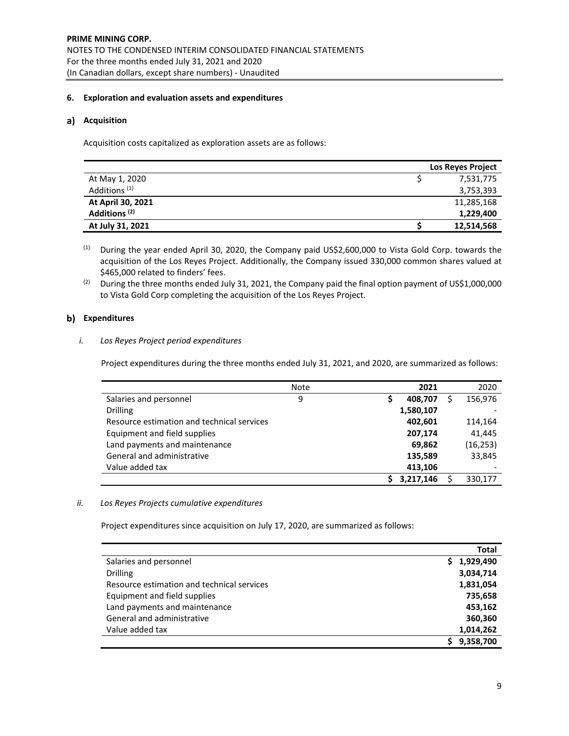# **6. Exploration and evaluation assets and expenditures**

## a) Acquisition

Acquisition costs capitalized as exploration assets are as follows:

|                          | <b>Los Reyes Project</b> |
|--------------------------|--------------------------|
| At May 1, 2020           | 7,531,775                |
| Additions <sup>(1)</sup> | 3,753,393                |
| At April 30, 2021        | 11,285,168               |
| Additions <sup>(2)</sup> | 1,229,400                |
| At July 31, 2021         | 12,514,568               |

(1) During the year ended April 30, 2020, the Company paid US\$2,600,000 to Vista Gold Corp. towards the acquisition of the Los Reyes Project. Additionally, the Company issued 330,000 common shares valued at \$465,000 related to finders' fees.

<sup>(2)</sup> During the three months ended July 31, 2021, the Company paid the final option payment of US\$1,000,000 to Vista Gold Corp completing the acquisition of the Los Reyes Project.

# **b**) Expenditures

## *i. Los Reyes Project period expenditures*

Project expenditures during the three months ended July 31, 2021, and 2020, are summarized as follows:

|                                            | Note | 2021      | 2020     |
|--------------------------------------------|------|-----------|----------|
| Salaries and personnel                     | 9    | 408,707   | 156,976  |
| <b>Drilling</b>                            |      | 1,580,107 |          |
| Resource estimation and technical services |      | 402,601   | 114,164  |
| Equipment and field supplies               |      | 207,174   | 41,445   |
| Land payments and maintenance              |      | 69,862    | (16,253) |
| General and administrative                 |      | 135,589   | 33.845   |
| Value added tax                            |      | 413,106   |          |
|                                            |      | 3,217,146 | 330,177  |

# *ii. Los Reyes Projects cumulative expenditures*

Project expenditures since acquisition on July 17, 2020, are summarized as follows:

|                                            | Total           |
|--------------------------------------------|-----------------|
| Salaries and personnel                     | 1,929,490<br>S. |
| <b>Drilling</b>                            | 3,034,714       |
| Resource estimation and technical services | 1,831,054       |
| Equipment and field supplies               | 735,658         |
| Land payments and maintenance              | 453,162         |
| General and administrative                 | 360,360         |
| Value added tax                            | 1,014,262       |
|                                            | 9,358,700       |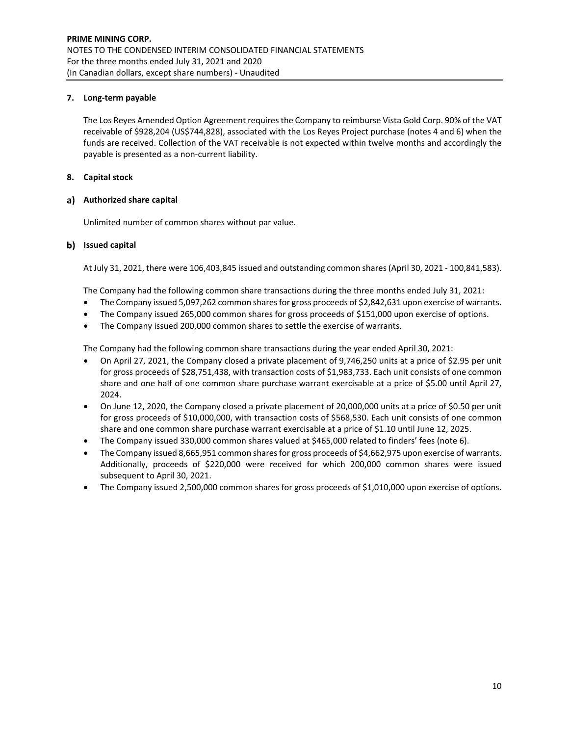# **7. Long‐term payable**

The Los Reyes Amended Option Agreement requires the Company to reimburse Vista Gold Corp. 90% of the VAT receivable of \$928,204 (US\$744,828), associated with the Los Reyes Project purchase (notes 4 and 6) when the funds are received. Collection of the VAT receivable is not expected within twelve months and accordingly the payable is presented as a non‐current liability.

# **8. Capital stock**

## **Authorized share capital**

Unlimited number of common shares without par value.

## **Issued capital**

At July 31, 2021, there were 106,403,845 issued and outstanding common shares(April 30, 2021 ‐ 100,841,583).

The Company had the following common share transactions during the three months ended July 31, 2021:

- The Company issued 5,097,262 common sharesfor gross proceeds of \$2,842,631 upon exercise of warrants.
- The Company issued 265,000 common shares for gross proceeds of \$151,000 upon exercise of options.
- The Company issued 200,000 common shares to settle the exercise of warrants.

The Company had the following common share transactions during the year ended April 30, 2021:

- On April 27, 2021, the Company closed a private placement of 9,746,250 units at a price of \$2.95 per unit for gross proceeds of \$28,751,438, with transaction costs of \$1,983,733. Each unit consists of one common share and one half of one common share purchase warrant exercisable at a price of \$5.00 until April 27, 2024.
- On June 12, 2020, the Company closed a private placement of 20,000,000 units at a price of \$0.50 per unit for gross proceeds of \$10,000,000, with transaction costs of \$568,530. Each unit consists of one common share and one common share purchase warrant exercisable at a price of \$1.10 until June 12, 2025.
- The Company issued 330,000 common shares valued at \$465,000 related to finders' fees (note 6).
- The Company issued 8,665,951 common shares for gross proceeds of \$4,662,975 upon exercise of warrants. Additionally, proceeds of \$220,000 were received for which 200,000 common shares were issued subsequent to April 30, 2021.
- The Company issued 2,500,000 common shares for gross proceeds of \$1,010,000 upon exercise of options.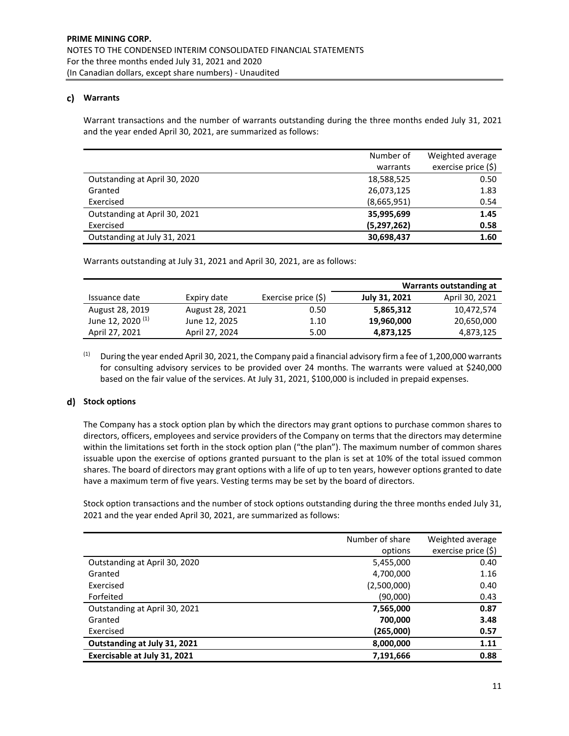# **Warrants**

Warrant transactions and the number of warrants outstanding during the three months ended July 31, 2021 and the year ended April 30, 2021, are summarized as follows:

|                               | Number of     | Weighted average    |
|-------------------------------|---------------|---------------------|
|                               | warrants      | exercise price (\$) |
| Outstanding at April 30, 2020 | 18,588,525    | 0.50                |
| Granted                       | 26,073,125    | 1.83                |
| Exercised                     | (8,665,951)   | 0.54                |
| Outstanding at April 30, 2021 | 35,995,699    | 1.45                |
| Exercised                     | (5, 297, 262) | 0.58                |
| Outstanding at July 31, 2021  | 30,698,437    | 1.60                |

Warrants outstanding at July 31, 2021 and April 30, 2021, are as follows:

|                              |                 |                     | Warrants outstanding at |                |  |
|------------------------------|-----------------|---------------------|-------------------------|----------------|--|
| Issuance date                | Expiry date     | Exercise price (\$) | July 31, 2021           | April 30, 2021 |  |
| August 28, 2019              | August 28, 2021 | 0.50                | 5,865,312               | 10.472.574     |  |
| June 12, 2020 <sup>(1)</sup> | June 12, 2025   | 1.10                | 19,960,000              | 20,650,000     |  |
| April 27, 2021               | April 27, 2024  | 5.00                | 4,873,125               | 4,873,125      |  |

<sup>(1)</sup> During the year ended April 30, 2021, the Company paid a financial advisory firm a fee of 1,200,000 warrants for consulting advisory services to be provided over 24 months. The warrants were valued at \$240,000 based on the fair value of the services. At July 31, 2021, \$100,000 is included in prepaid expenses.

# **Stock options**

The Company has a stock option plan by which the directors may grant options to purchase common shares to directors, officers, employees and service providers of the Company on terms that the directors may determine within the limitations set forth in the stock option plan ("the plan"). The maximum number of common shares issuable upon the exercise of options granted pursuant to the plan is set at 10% of the total issued common shares. The board of directors may grant options with a life of up to ten years, however options granted to date have a maximum term of five years. Vesting terms may be set by the board of directors.

Stock option transactions and the number of stock options outstanding during the three months ended July 31, 2021 and the year ended April 30, 2021, are summarized as follows:

|                               | Number of share | Weighted average    |
|-------------------------------|-----------------|---------------------|
|                               | options         | exercise price (\$) |
| Outstanding at April 30, 2020 | 5,455,000       | 0.40                |
| Granted                       | 4,700,000       | 1.16                |
| Exercised                     | (2,500,000)     | 0.40                |
| Forfeited                     | (90,000)        | 0.43                |
| Outstanding at April 30, 2021 | 7,565,000       | 0.87                |
| Granted                       | 700,000         | 3.48                |
| Exercised                     | (265,000)       | 0.57                |
| Outstanding at July 31, 2021  | 8,000,000       | 1.11                |
| Exercisable at July 31, 2021  | 7,191,666       | 0.88                |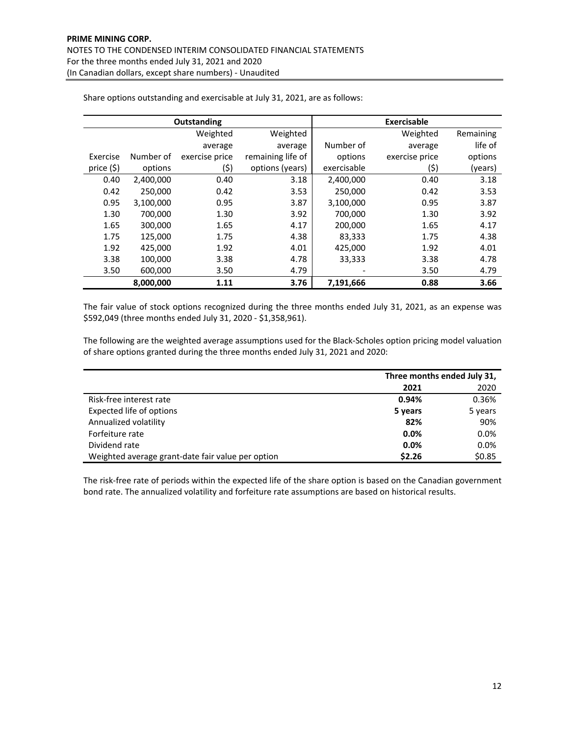|            |           | Outstanding    | Exercisable       |             |                |           |
|------------|-----------|----------------|-------------------|-------------|----------------|-----------|
|            |           | Weighted       | Weighted          |             | Weighted       | Remaining |
|            |           | average        | average           | Number of   | average        | life of   |
| Exercise   | Number of | exercise price | remaining life of | options     | exercise price | options   |
| price (\$) | options   | (\$)           | options (years)   | exercisable | (\$)           | (years)   |
| 0.40       | 2,400,000 | 0.40           | 3.18              | 2,400,000   | 0.40           | 3.18      |
| 0.42       | 250.000   | 0.42           | 3.53              | 250.000     | 0.42           | 3.53      |
| 0.95       | 3,100,000 | 0.95           | 3.87              | 3,100,000   | 0.95           | 3.87      |
| 1.30       | 700.000   | 1.30           | 3.92              | 700,000     | 1.30           | 3.92      |
| 1.65       | 300,000   | 1.65           | 4.17              | 200,000     | 1.65           | 4.17      |
| 1.75       | 125,000   | 1.75           | 4.38              | 83,333      | 1.75           | 4.38      |
| 1.92       | 425.000   | 1.92           | 4.01              | 425,000     | 1.92           | 4.01      |
| 3.38       | 100,000   | 3.38           | 4.78              | 33,333      | 3.38           | 4.78      |
| 3.50       | 600,000   | 3.50           | 4.79              |             | 3.50           | 4.79      |
|            | 8,000,000 | 1.11           | 3.76              | 7,191,666   | 0.88           | 3.66      |

Share options outstanding and exercisable at July 31, 2021, are as follows:

The fair value of stock options recognized during the three months ended July 31, 2021, as an expense was \$592,049 (three months ended July 31, 2020 ‐ \$1,358,961).

The following are the weighted average assumptions used for the Black‐Scholes option pricing model valuation of share options granted during the three months ended July 31, 2021 and 2020:

|                                                   | Three months ended July 31, |         |  |
|---------------------------------------------------|-----------------------------|---------|--|
|                                                   | 2021                        | 2020    |  |
| Risk-free interest rate                           | 0.94%                       | 0.36%   |  |
| Expected life of options                          | 5 years                     | 5 years |  |
| Annualized volatility                             | 82%                         | 90%     |  |
| Forfeiture rate                                   | 0.0%                        | 0.0%    |  |
| Dividend rate                                     | $0.0\%$                     | 0.0%    |  |
| Weighted average grant-date fair value per option | \$2.26                      | \$0.85  |  |

The risk-free rate of periods within the expected life of the share option is based on the Canadian government bond rate. The annualized volatility and forfeiture rate assumptions are based on historical results.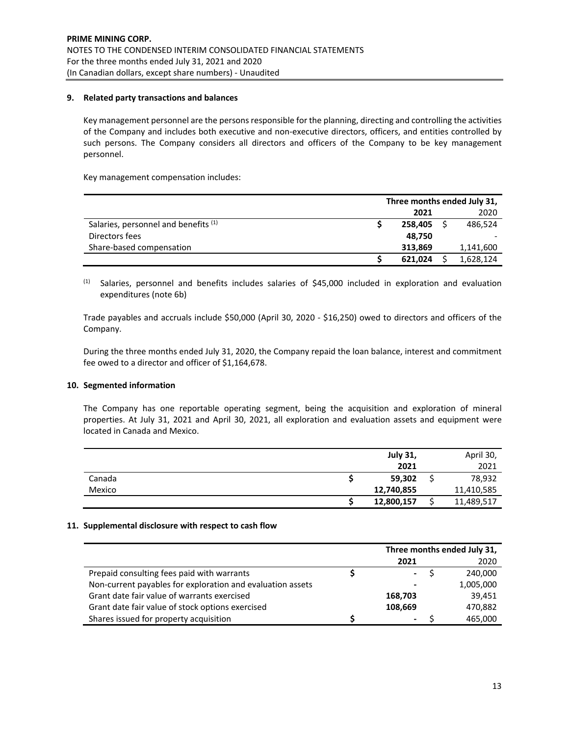## **9. Related party transactions and balances**

Key management personnel are the persons responsible for the planning, directing and controlling the activities of the Company and includes both executive and non‐executive directors, officers, and entities controlled by such persons. The Company considers all directors and officers of the Company to be key management personnel.

Key management compensation includes:

|                                      | Three months ended July 31, |  |           |  |
|--------------------------------------|-----------------------------|--|-----------|--|
|                                      | 2021                        |  | 2020      |  |
| Salaries, personnel and benefits (1) | 258.405                     |  | 486,524   |  |
| Directors fees                       | 48,750                      |  |           |  |
| Share-based compensation             | 313.869                     |  | 1,141,600 |  |
|                                      | 621,024                     |  | 1,628,124 |  |

 $(1)$  Salaries, personnel and benefits includes salaries of \$45,000 included in exploration and evaluation expenditures (note 6b)

Trade payables and accruals include \$50,000 (April 30, 2020 ‐ \$16,250) owed to directors and officers of the Company.

During the three months ended July 31, 2020, the Company repaid the loan balance, interest and commitment fee owed to a director and officer of \$1,164,678.

## **10. Segmented information**

The Company has one reportable operating segment, being the acquisition and exploration of mineral properties. At July 31, 2021 and April 30, 2021, all exploration and evaluation assets and equipment were located in Canada and Mexico.

|        | <b>July 31,</b> | April 30,  |
|--------|-----------------|------------|
|        | 2021            | 2021       |
| Canada | 59,302          | 78,932     |
| Mexico | 12,740,855      | 11,410,585 |
|        | 12,800,157      | 11,489,517 |

## **11. Supplemental disclosure with respect to cash flow**

|                                                            | Three months ended July 31, |  |           |  |
|------------------------------------------------------------|-----------------------------|--|-----------|--|
|                                                            | 2021                        |  | 2020      |  |
| Prepaid consulting fees paid with warrants                 | $\blacksquare$              |  | 240.000   |  |
| Non-current payables for exploration and evaluation assets |                             |  | 1,005,000 |  |
| Grant date fair value of warrants exercised                | 168.703                     |  | 39.451    |  |
| Grant date fair value of stock options exercised           | 108.669                     |  | 470,882   |  |
| Shares issued for property acquisition                     | ۰                           |  | 465,000   |  |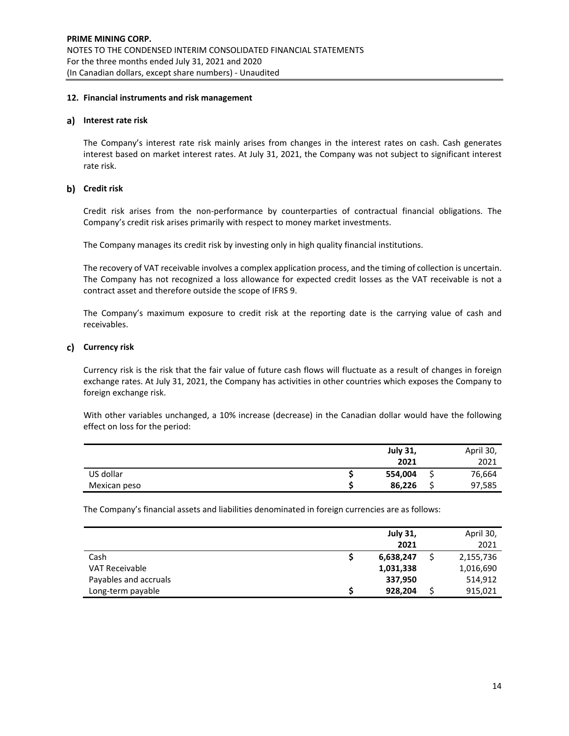## **12. Financial instruments and risk management**

## **Interest rate risk**

The Company's interest rate risk mainly arises from changes in the interest rates on cash. Cash generates interest based on market interest rates. At July 31, 2021, the Company was not subject to significant interest rate risk.

# **Credit risk**

Credit risk arises from the non‐performance by counterparties of contractual financial obligations. The Company's credit risk arises primarily with respect to money market investments.

The Company manages its credit risk by investing only in high quality financial institutions.

The recovery of VAT receivable involves a complex application process, and the timing of collection is uncertain. The Company has not recognized a loss allowance for expected credit losses as the VAT receivable is not a contract asset and therefore outside the scope of IFRS 9.

The Company's maximum exposure to credit risk at the reporting date is the carrying value of cash and receivables.

# **Currency risk**

Currency risk is the risk that the fair value of future cash flows will fluctuate as a result of changes in foreign exchange rates. At July 31, 2021, the Company has activities in other countries which exposes the Company to foreign exchange risk.

With other variables unchanged, a 10% increase (decrease) in the Canadian dollar would have the following effect on loss for the period:

|              | <b>July 31,</b> |   | April 30, |
|--------------|-----------------|---|-----------|
|              | 2021            |   | 2021      |
| US dollar    | 554,004         | ت | 76,664    |
| Mexican peso | 86,226          |   | 97,585    |

The Company's financial assets and liabilities denominated in foreign currencies are as follows:

|                       | <b>July 31,</b> | April 30, |
|-----------------------|-----------------|-----------|
|                       | 2021            | 2021      |
| Cash                  | 6,638,247       | 2,155,736 |
| <b>VAT Receivable</b> | 1,031,338       | 1,016,690 |
| Payables and accruals | 337,950         | 514,912   |
| Long-term payable     | 928,204         | 915,021   |